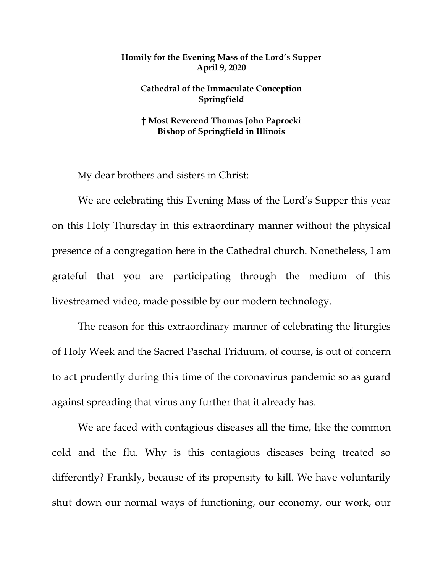## **Homily for the Evening Mass of the Lord's Supper April 9, 2020**

## **Cathedral of the Immaculate Conception Springfield**

## **† Most Reverend Thomas John Paprocki Bishop of Springfield in Illinois**

My dear brothers and sisters in Christ:

We are celebrating this Evening Mass of the Lord's Supper this year on this Holy Thursday in this extraordinary manner without the physical presence of a congregation here in the Cathedral church. Nonetheless, I am grateful that you are participating through the medium of this livestreamed video, made possible by our modern technology.

The reason for this extraordinary manner of celebrating the liturgies of Holy Week and the Sacred Paschal Triduum, of course, is out of concern to act prudently during this time of the coronavirus pandemic so as guard against spreading that virus any further that it already has.

We are faced with contagious diseases all the time, like the common cold and the flu. Why is this contagious diseases being treated so differently? Frankly, because of its propensity to kill. We have voluntarily shut down our normal ways of functioning, our economy, our work, our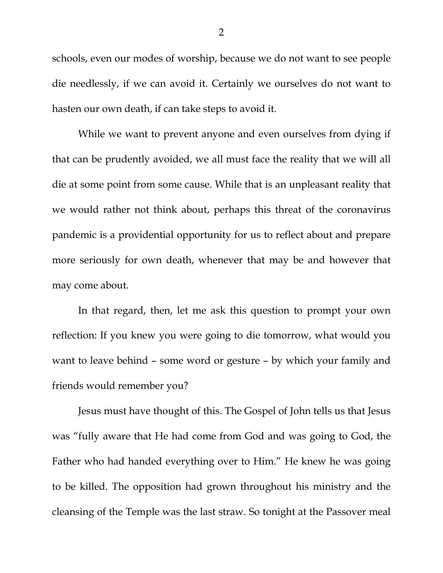schools, even our modes of worship, because we do not want to see people die needlessly, if we can avoid it. Certainly we ourselves do not want to hasten our own death, if can take steps to avoid it.

While we want to prevent anyone and even ourselves from dying if that can be prudently avoided, we all must face the reality that we will all die at some point from some cause. While that is an unpleasant reality that we would rather not think about, perhaps this threat of the coronavirus pandemic is a providential opportunity for us to reflect about and prepare more seriously for own death, whenever that may be and however that may come about.

In that regard, then, let me ask this question to prompt your own reflection: If you knew you were going to die tomorrow, what would you want to leave behind – some word or gesture – by which your family and friends would remember you?

Jesus must have thought of this. The Gospel of John tells us that Jesus was "fully aware that He had come from God and was going to God, the Father who had handed everything over to Him." He knew he was going to be killed. The opposition had grown throughout his ministry and the cleansing of the Temple was the last straw. So tonight at the Passover meal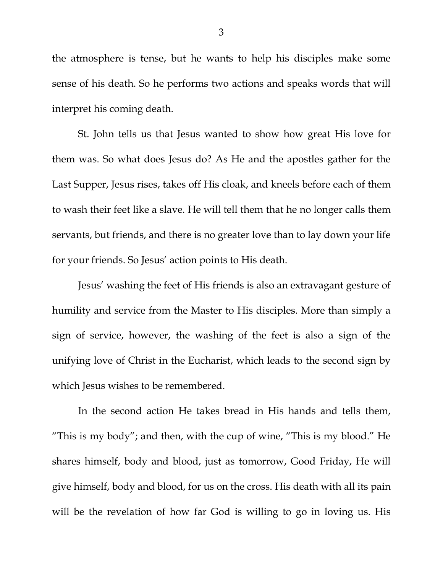the atmosphere is tense, but he wants to help his disciples make some sense of his death. So he performs two actions and speaks words that will interpret his coming death.

St. John tells us that Jesus wanted to show how great His love for them was. So what does Jesus do? As He and the apostles gather for the Last Supper, Jesus rises, takes off His cloak, and kneels before each of them to wash their feet like a slave. He will tell them that he no longer calls them servants, but friends, and there is no greater love than to lay down your life for your friends. So Jesus' action points to His death.

Jesus' washing the feet of His friends is also an extravagant gesture of humility and service from the Master to His disciples. More than simply a sign of service, however, the washing of the feet is also a sign of the unifying love of Christ in the Eucharist, which leads to the second sign by which Jesus wishes to be remembered.

In the second action He takes bread in His hands and tells them, "This is my body"; and then, with the cup of wine, "This is my blood." He shares himself, body and blood, just as tomorrow, Good Friday, He will give himself, body and blood, for us on the cross. His death with all its pain will be the revelation of how far God is willing to go in loving us. His

3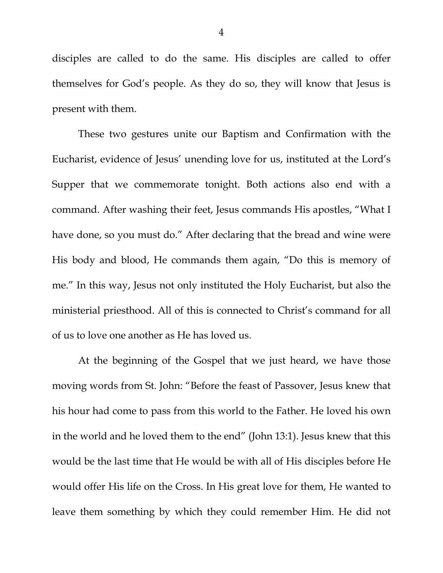disciples are called to do the same. His disciples are called to offer themselves for God's people. As they do so, they will know that Jesus is present with them.

These two gestures unite our Baptism and Confirmation with the Eucharist, evidence of Jesus' unending love for us, instituted at the Lord's Supper that we commemorate tonight. Both actions also end with a command. After washing their feet, Jesus commands His apostles, "What I have done, so you must do." After declaring that the bread and wine were His body and blood, He commands them again, "Do this is memory of me." In this way, Jesus not only instituted the Holy Eucharist, but also the ministerial priesthood. All of this is connected to Christ's command for all of us to love one another as He has loved us.

At the beginning of the Gospel that we just heard, we have those moving words from St. John: "Before the feast of Passover, Jesus knew that his hour had come to pass from this world to the Father. He loved his own in the world and he loved them to the end" (John 13:1). Jesus knew that this would be the last time that He would be with all of His disciples before He would offer His life on the Cross. In His great love for them, He wanted to leave them something by which they could remember Him. He did not

4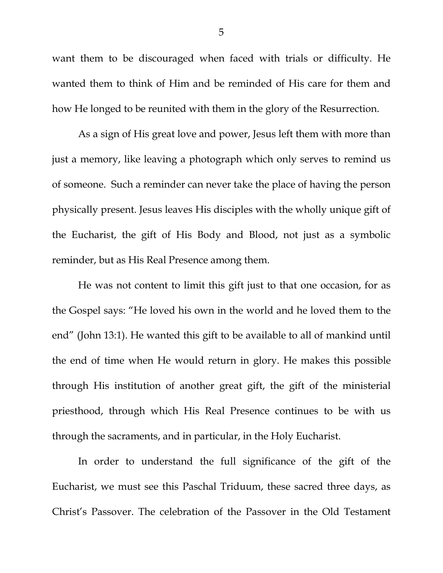want them to be discouraged when faced with trials or difficulty. He wanted them to think of Him and be reminded of His care for them and how He longed to be reunited with them in the glory of the Resurrection.

As a sign of His great love and power, Jesus left them with more than just a memory, like leaving a photograph which only serves to remind us of someone. Such a reminder can never take the place of having the person physically present. Jesus leaves His disciples with the wholly unique gift of the Eucharist, the gift of His Body and Blood, not just as a symbolic reminder, but as His Real Presence among them.

He was not content to limit this gift just to that one occasion, for as the Gospel says: "He loved his own in the world and he loved them to the end" (John 13:1). He wanted this gift to be available to all of mankind until the end of time when He would return in glory. He makes this possible through His institution of another great gift, the gift of the ministerial priesthood, through which His Real Presence continues to be with us through the sacraments, and in particular, in the Holy Eucharist.

In order to understand the full significance of the gift of the Eucharist, we must see this Paschal Triduum, these sacred three days, as Christ's Passover. The celebration of the Passover in the Old Testament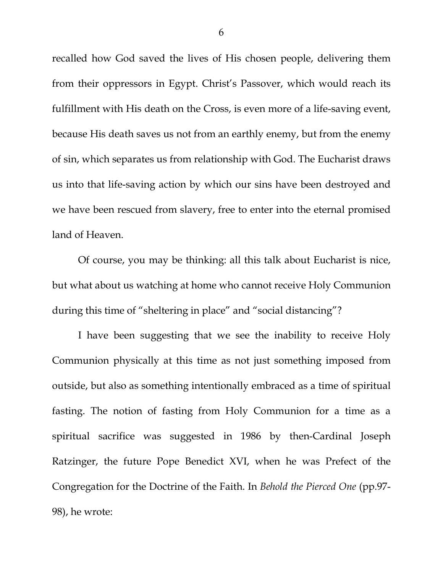recalled how God saved the lives of His chosen people, delivering them from their oppressors in Egypt. Christ's Passover, which would reach its fulfillment with His death on the Cross, is even more of a life-saving event, because His death saves us not from an earthly enemy, but from the enemy of sin, which separates us from relationship with God. The Eucharist draws us into that life-saving action by which our sins have been destroyed and we have been rescued from slavery, free to enter into the eternal promised land of Heaven.

Of course, you may be thinking: all this talk about Eucharist is nice, but what about us watching at home who cannot receive Holy Communion during this time of "sheltering in place" and "social distancing"?

I have been suggesting that we see the inability to receive Holy Communion physically at this time as not just something imposed from outside, but also as something intentionally embraced as a time of spiritual fasting. The notion of fasting from Holy Communion for a time as a spiritual sacrifice was suggested in 1986 by then-Cardinal Joseph Ratzinger, the future Pope Benedict XVI, when he was Prefect of the Congregation for the Doctrine of the Faith. In *Behold the Pierced One* (pp.97- 98), he wrote: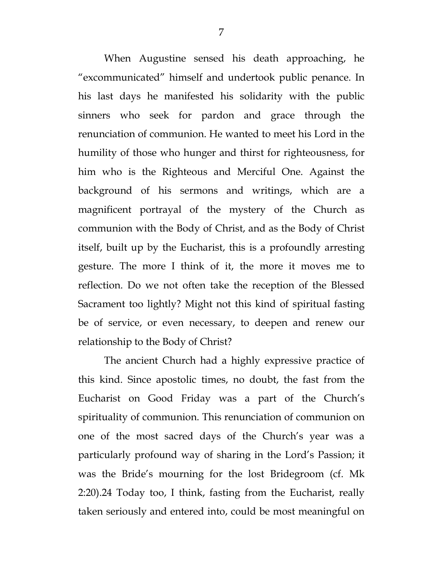When Augustine sensed his death approaching, he "excommunicated" himself and undertook public penance. In his last days he manifested his solidarity with the public sinners who seek for pardon and grace through the renunciation of communion. He wanted to meet his Lord in the humility of those who hunger and thirst for righteousness, for him who is the Righteous and Merciful One. Against the background of his sermons and writings, which are a magnificent portrayal of the mystery of the Church as communion with the Body of Christ, and as the Body of Christ itself, built up by the Eucharist, this is a profoundly arresting gesture. The more I think of it, the more it moves me to reflection. Do we not often take the reception of the Blessed Sacrament too lightly? Might not this kind of spiritual fasting be of service, or even necessary, to deepen and renew our relationship to the Body of Christ?

The ancient Church had a highly expressive practice of this kind. Since apostolic times, no doubt, the fast from the Eucharist on Good Friday was a part of the Church's spirituality of communion. This renunciation of communion on one of the most sacred days of the Church's year was a particularly profound way of sharing in the Lord's Passion; it was the Bride's mourning for the lost Bridegroom (cf. Mk 2:20).24 Today too, I think, fasting from the Eucharist, really taken seriously and entered into, could be most meaningful on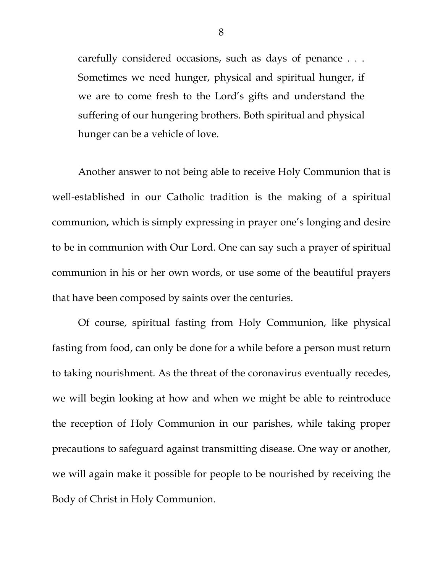carefully considered occasions, such as days of penance . . . Sometimes we need hunger, physical and spiritual hunger, if we are to come fresh to the Lord's gifts and understand the suffering of our hungering brothers. Both spiritual and physical hunger can be a vehicle of love.

Another answer to not being able to receive Holy Communion that is well-established in our Catholic tradition is the making of a spiritual communion, which is simply expressing in prayer one's longing and desire to be in communion with Our Lord. One can say such a prayer of spiritual communion in his or her own words, or use some of the beautiful prayers that have been composed by saints over the centuries.

Of course, spiritual fasting from Holy Communion, like physical fasting from food, can only be done for a while before a person must return to taking nourishment. As the threat of the coronavirus eventually recedes, we will begin looking at how and when we might be able to reintroduce the reception of Holy Communion in our parishes, while taking proper precautions to safeguard against transmitting disease. One way or another, we will again make it possible for people to be nourished by receiving the Body of Christ in Holy Communion.